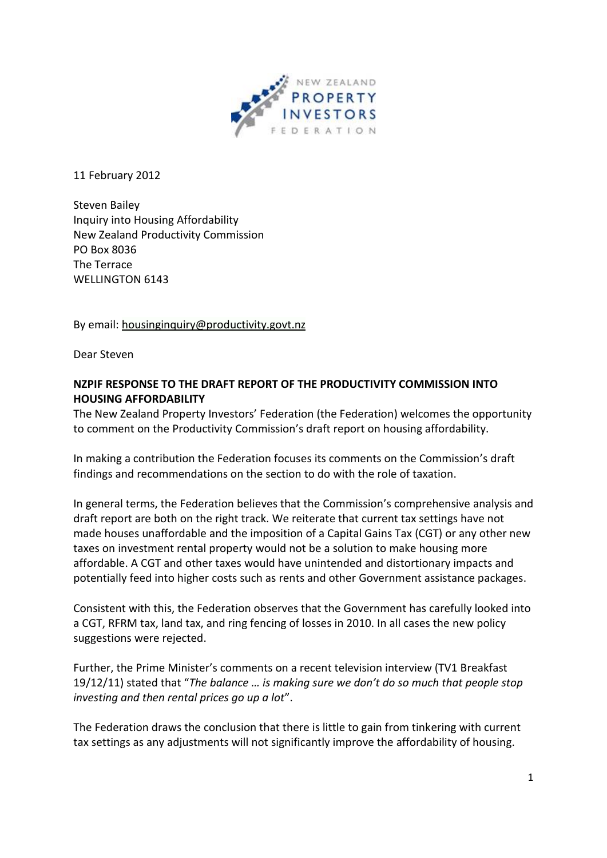

11 February 2012

Steven Bailey Inquiry into Housing Affordability New Zealand Productivity Commission PO Box 8036 The Terrace WELLINGTON 6143

By email: [housinginquiry@productivity.govt.nz](mailto:housinginquiry@productivity.govt.nz)

Dear Steven

# **NZPIF RESPONSE TO THE DRAFT REPORT OF THE PRODUCTIVITY COMMISSION INTO HOUSING AFFORDABILITY**

The New Zealand Property Investors' Federation (the Federation) welcomes the opportunity to comment on the Productivity Commission's draft report on housing affordability.

In making a contribution the Federation focuses its comments on the Commission's draft findings and recommendations on the section to do with the role of taxation.

In general terms, the Federation believes that the Commission's comprehensive analysis and draft report are both on the right track. We reiterate that current tax settings have not made houses unaffordable and the imposition of a Capital Gains Tax (CGT) or any other new taxes on investment rental property would not be a solution to make housing more affordable. A CGT and other taxes would have unintended and distortionary impacts and potentially feed into higher costs such as rents and other Government assistance packages.

Consistent with this, the Federation observes that the Government has carefully looked into a CGT, RFRM tax, land tax, and ring fencing of losses in 2010. In all cases the new policy suggestions were rejected.

Further, the Prime Minister's comments on a recent television interview (TV1 Breakfast 19/12/11) stated that "*The balance … is making sure we don't do so much that people stop investing and then rental prices go up a lot*".

The Federation draws the conclusion that there is little to gain from tinkering with current tax settings as any adjustments will not significantly improve the affordability of housing.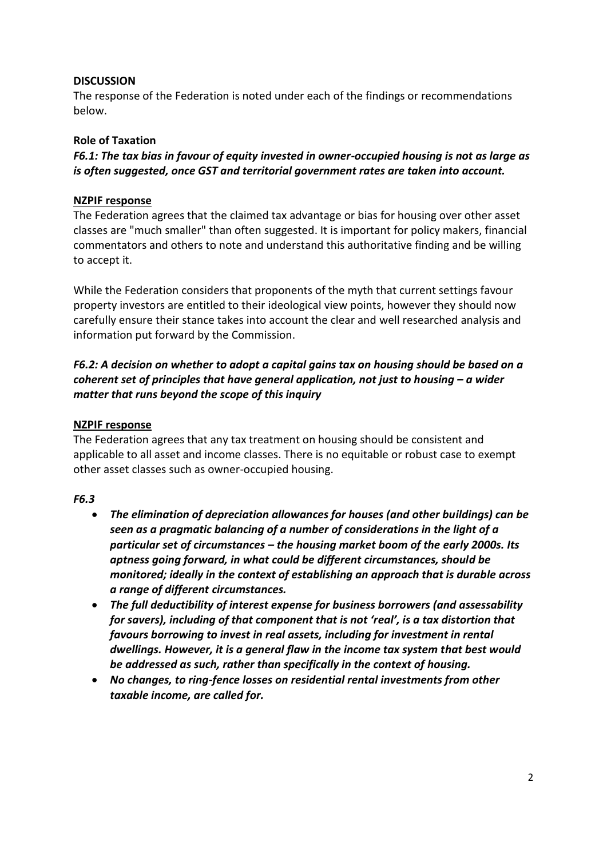## **DISCUSSION**

The response of the Federation is noted under each of the findings or recommendations below.

### **Role of Taxation**

*F6.1: The tax bias in favour of equity invested in owner-occupied housing is not as large as is often suggested, once GST and territorial government rates are taken into account.*

## **NZPIF response**

The Federation agrees that the claimed tax advantage or bias for housing over other asset classes are "much smaller" than often suggested. It is important for policy makers, financial commentators and others to note and understand this authoritative finding and be willing to accept it.

While the Federation considers that proponents of the myth that current settings favour property investors are entitled to their ideological view points, however they should now carefully ensure their stance takes into account the clear and well researched analysis and information put forward by the Commission.

# *F6.2: A decision on whether to adopt a capital gains tax on housing should be based on a coherent set of principles that have general application, not just to housing – a wider matter that runs beyond the scope of this inquiry*

## **NZPIF response**

The Federation agrees that any tax treatment on housing should be consistent and applicable to all asset and income classes. There is no equitable or robust case to exempt other asset classes such as owner-occupied housing.

#### *F6.3*

- *The elimination of depreciation allowances for houses (and other buildings) can be seen as a pragmatic balancing of a number of considerations in the light of a particular set of circumstances – the housing market boom of the early 2000s. Its aptness going forward, in what could be different circumstances, should be monitored; ideally in the context of establishing an approach that is durable across a range of different circumstances.*
- *The full deductibility of interest expense for business borrowers (and assessability for savers), including of that component that is not 'real', is a tax distortion that favours borrowing to invest in real assets, including for investment in rental dwellings. However, it is a general flaw in the income tax system that best would be addressed as such, rather than specifically in the context of housing.*
- *No changes, to ring-fence losses on residential rental investments from other taxable income, are called for.*